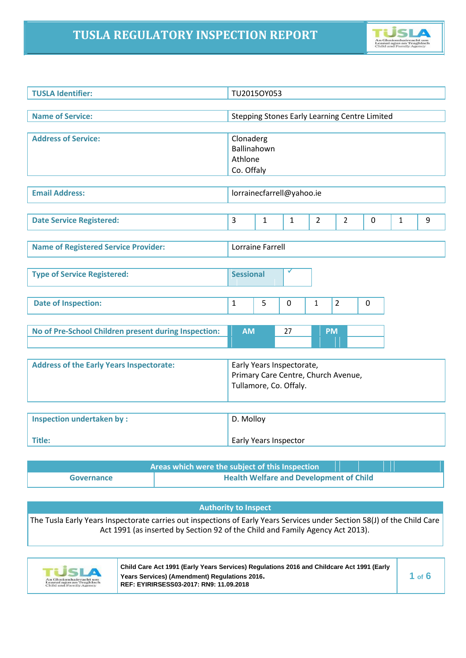# **TUSLA REGULATORY INSPECTION REPORT**



| <b>TUSLA Identifier:</b>                             |                                                                                            | TU2015OY053      |                           |                |                                                      |   |              |   |
|------------------------------------------------------|--------------------------------------------------------------------------------------------|------------------|---------------------------|----------------|------------------------------------------------------|---|--------------|---|
| <b>Name of Service:</b>                              |                                                                                            |                  |                           |                | <b>Stepping Stones Early Learning Centre Limited</b> |   |              |   |
| <b>Address of Service:</b>                           | Clonaderg<br>Ballinahown<br>Athlone<br>Co. Offaly                                          |                  |                           |                |                                                      |   |              |   |
| <b>Email Address:</b>                                |                                                                                            |                  | lorrainecfarrell@yahoo.ie |                |                                                      |   |              |   |
| <b>Date Service Registered:</b>                      | 3                                                                                          | $\mathbf{1}$     | 1                         | $\overline{2}$ | $\overline{2}$                                       | 0 | $\mathbf{1}$ | 9 |
| <b>Name of Registered Service Provider:</b>          |                                                                                            | Lorraine Farrell |                           |                |                                                      |   |              |   |
| <b>Type of Service Registered:</b>                   | <b>Sessional</b>                                                                           |                  |                           |                |                                                      |   |              |   |
| <b>Date of Inspection:</b>                           | $\mathbf{1}$                                                                               | 5                | $\mathbf{0}$              | $\mathbf{1}$   | $\overline{2}$                                       | 0 |              |   |
| No of Pre-School Children present during Inspection: | <b>AM</b>                                                                                  |                  | 27                        | <b>PM</b>      |                                                      |   |              |   |
| <b>Address of the Early Years Inspectorate:</b>      | Early Years Inspectorate,<br>Primary Care Centre, Church Avenue,<br>Tullamore, Co. Offaly. |                  |                           |                |                                                      |   |              |   |
| <b>Inspection undertaken by:</b><br>Title:           | D. Molloy                                                                                  |                  | Early Years Inspector     |                |                                                      |   |              |   |
| Areas which were the subject of this Inspection      |                                                                                            |                  |                           |                |                                                      |   |              |   |

| Governance | <b>Health Welfare and Development of Child</b> |
|------------|------------------------------------------------|
|            |                                                |

### **Authority to Inspect**

The Tusla Early Years Inspectorate carries out inspections of Early Years Services under Section 58(J) of the Child Care Act 1991 (as inserted by Section 92 of the Child and Family Agency Act 2013).



**Child Care Act 1991 (Early Years Services) Regulations 2016 and Childcare Act 1991 (Early Years Services) (Amendment) Regulations 2016. 1 of 6 REF: EYIRIRSESS03-2017: RN9: 11.09.2018**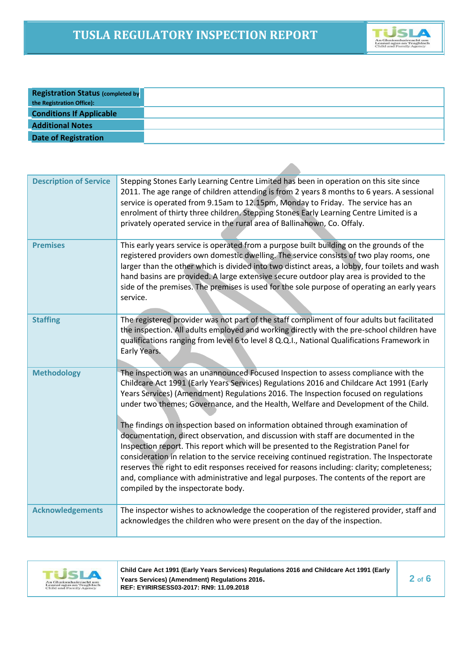

| <b>Registration Status (completed by</b> |
|------------------------------------------|
| the Registration Office):                |
| <b>Conditions If Applicable</b>          |
| <b>Additional Notes</b>                  |
| <b>Date of Registration</b>              |

| <b>Description of Service</b> | Stepping Stones Early Learning Centre Limited has been in operation on this site since<br>2011. The age range of children attending is from 2 years 8 months to 6 years. A sessional<br>service is operated from 9.15am to 12.15pm, Monday to Friday. The service has an<br>enrolment of thirty three children. Stepping Stones Early Learning Centre Limited is a<br>privately operated service in the rural area of Ballinahown, Co. Offaly.                                                                                                                                                                                                                                                                                                                                                                                                                                                                                                              |
|-------------------------------|-------------------------------------------------------------------------------------------------------------------------------------------------------------------------------------------------------------------------------------------------------------------------------------------------------------------------------------------------------------------------------------------------------------------------------------------------------------------------------------------------------------------------------------------------------------------------------------------------------------------------------------------------------------------------------------------------------------------------------------------------------------------------------------------------------------------------------------------------------------------------------------------------------------------------------------------------------------|
| <b>Premises</b>               | This early years service is operated from a purpose built building on the grounds of the<br>registered providers own domestic dwelling. The service consists of two play rooms, one<br>larger than the other which is divided into two distinct areas, a lobby, four toilets and wash<br>hand basins are provided. A large extensive secure outdoor play area is provided to the<br>side of the premises. The premises is used for the sole purpose of operating an early years<br>service.                                                                                                                                                                                                                                                                                                                                                                                                                                                                 |
| <b>Staffing</b>               | The registered provider was not part of the staff compliment of four adults but facilitated<br>the inspection. All adults employed and working directly with the pre-school children have<br>qualifications ranging from level 6 to level 8 Q.Q.I., National Qualifications Framework in<br>Early Years.                                                                                                                                                                                                                                                                                                                                                                                                                                                                                                                                                                                                                                                    |
| <b>Methodology</b>            | The inspection was an unannounced Focused Inspection to assess compliance with the<br>Childcare Act 1991 (Early Years Services) Regulations 2016 and Childcare Act 1991 (Early<br>Years Services) (Amendment) Regulations 2016. The Inspection focused on regulations<br>under two themes; Governance, and the Health, Welfare and Development of the Child.<br>The findings on inspection based on information obtained through examination of<br>documentation, direct observation, and discussion with staff are documented in the<br>Inspection report. This report which will be presented to the Registration Panel for<br>consideration in relation to the service receiving continued registration. The Inspectorate<br>reserves the right to edit responses received for reasons including: clarity; completeness;<br>and, compliance with administrative and legal purposes. The contents of the report are<br>compiled by the inspectorate body. |
| <b>Acknowledgements</b>       | The inspector wishes to acknowledge the cooperation of the registered provider, staff and<br>acknowledges the children who were present on the day of the inspection.                                                                                                                                                                                                                                                                                                                                                                                                                                                                                                                                                                                                                                                                                                                                                                                       |



**Child Care Act 1991 (Early Years Services) Regulations 2016 and Childcare Act 1991 (Early** *2* **of <b>6 2 2 6 2 6 1 REF: EYIRIRSESS03-2017: RN9: 11.09.2018**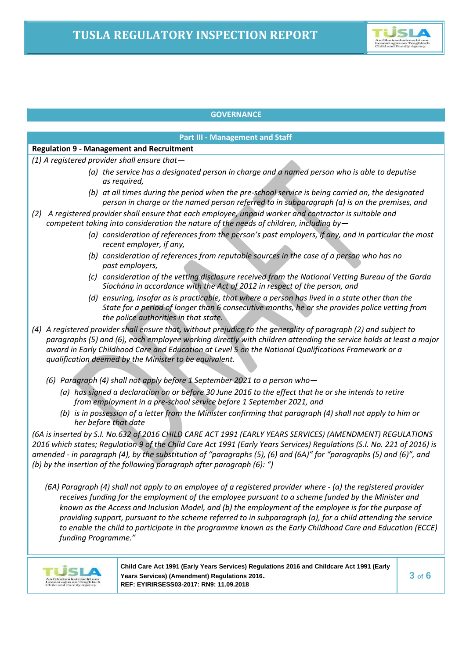

### **GOVERNANCE**

### **Part III - Management and Staff**

# **Regulation 9 - Management and Recruitment**

- *(1) A registered provider shall ensure that—*
	- *(a) the service has a designated person in charge and a named person who is able to deputise as required,*
	- *(b) at all times during the period when the pre-school service is being carried on, the designated person in charge or the named person referred to in subparagraph (a) is on the premises, and*
- *(2) A registered provider shall ensure that each employee, unpaid worker and contractor is suitable and competent taking into consideration the nature of the needs of children, including by—*
	- *(a) consideration of references from the person's past employers, if any, and in particular the most recent employer, if any,*
	- *(b) consideration of references from reputable sources in the case of a person who has no past employers,*
	- *(c) consideration of the vetting disclosure received from the National Vetting Bureau of the Garda Síochána in accordance with the Act of 2012 in respect of the person, and*
	- *(d) ensuring, insofar as is practicable, that where a person has lived in a state other than the State for a period of longer than 6 consecutive months, he or she provides police vetting from the police authorities in that state.*
- *(4) A registered provider shall ensure that, without prejudice to the generality of paragraph (2) and subject to paragraphs (5) and (6), each employee working directly with children attending the service holds at least a major award in Early Childhood Care and Education at Level 5 on the National Qualifications Framework or a qualification deemed by the Minister to be equivalent.*
	- *(6) Paragraph (4) shall not apply before 1 September 2021 to a person who—*
		- *(a) has signed a declaration on or before 30 June 2016 to the effect that he or she intends to retire from employment in a pre-school service before 1 September 2021, and*
		- *(b) is in possession of a letter from the Minister confirming that paragraph (4) shall not apply to him or her before that date*

*(6A is inserted by S.I. No.632 of 2016 CHILD CARE ACT 1991 (EARLY YEARS SERVICES) (AMENDMENT) REGULATIONS 2016 which states; Regulation 9 of the Child Care Act 1991 (Early Years Services) Regulations (S.I. No. 221 of 2016) is amended - in paragraph (4), by the substitution of "paragraphs (5), (6) and (6A)" for "paragraphs (5) and (6)", and (b) by the insertion of the following paragraph after paragraph (6): ")*

*(6A) Paragraph (4) shall not apply to an employee of a registered provider where - (a) the registered provider receives funding for the employment of the employee pursuant to a scheme funded by the Minister and known as the Access and Inclusion Model, and (b) the employment of the employee is for the purpose of providing support, pursuant to the scheme referred to in subparagraph (a), for a child attending the service to enable the child to participate in the programme known as the Early Childhood Care and Education (ECCE) funding Programme."*



**Child Care Act 1991 (Early Years Services) Regulations 2016 and Childcare Act 1991 (Early Years Services) (Amendment) Regulations 2016. 3 of 6 REF: EYIRIRSESS03-2017: RN9: 11.09.2018**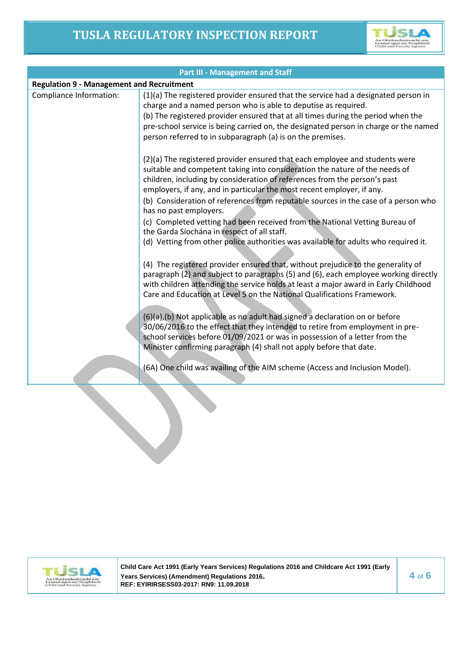

| <b>Part III - Management and Staff</b>           |                                                                                                                                                                                                                                                                                                                                                                                                                                                                                                                                                                                                                                                                                                                                                |  |  |  |
|--------------------------------------------------|------------------------------------------------------------------------------------------------------------------------------------------------------------------------------------------------------------------------------------------------------------------------------------------------------------------------------------------------------------------------------------------------------------------------------------------------------------------------------------------------------------------------------------------------------------------------------------------------------------------------------------------------------------------------------------------------------------------------------------------------|--|--|--|
| <b>Regulation 9 - Management and Recruitment</b> |                                                                                                                                                                                                                                                                                                                                                                                                                                                                                                                                                                                                                                                                                                                                                |  |  |  |
| Compliance Information:                          | (1)(a) The registered provider ensured that the service had a designated person in<br>charge and a named person who is able to deputise as required.<br>(b) The registered provider ensured that at all times during the period when the<br>pre-school service is being carried on, the designated person in charge or the named<br>person referred to in subparagraph (a) is on the premises.                                                                                                                                                                                                                                                                                                                                                 |  |  |  |
|                                                  | (2)(a) The registered provider ensured that each employee and students were<br>suitable and competent taking into consideration the nature of the needs of<br>children, including by consideration of references from the person's past<br>employers, if any, and in particular the most recent employer, if any.<br>(b) Consideration of references from reputable sources in the case of a person who<br>has no past employers.<br>(c) Completed vetting had been received from the National Vetting Bureau of<br>the Garda Síochána in respect of all staff.<br>(d) Vetting from other police authorities was available for adults who required it.                                                                                         |  |  |  |
|                                                  | (4) The registered provider ensured that, without prejudice to the generality of<br>paragraph (2) and subject to paragraphs (5) and (6), each employee working directly<br>with children attending the service holds at least a major award in Early Childhood<br>Care and Education at Level 5 on the National Qualifications Framework.<br>(6)(a),(b) Not applicable as no adult had signed a declaration on or before<br>30/06/2016 to the effect that they intended to retire from employment in pre-<br>school services before 01/09/2021 or was in possession of a letter from the<br>Minister confirming paragraph (4) shall not apply before that date.<br>(6A) One child was availing of the AIM scheme (Access and Inclusion Model). |  |  |  |



**Child Care Act 1991 (Early Years Services) Regulations 2016 and Childcare Act 1991 (Early Years Services) (Amendment) Regulations 2016. 4 of 6 REF: EYIRIRSESS03-2017: RN9: 11.09.2018**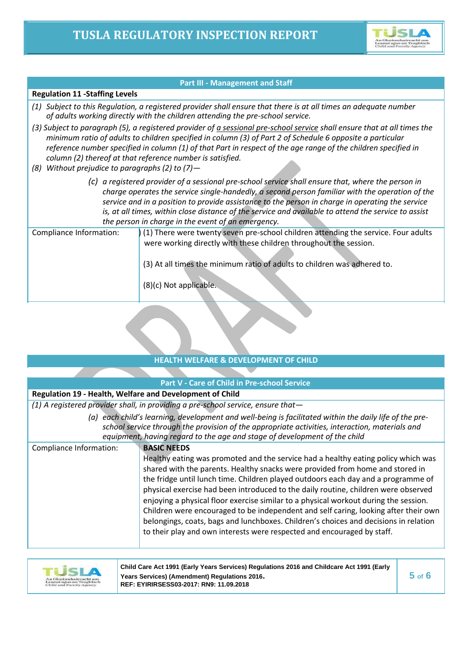

#### **Part III - Management and Staff**

#### **Regulation 11 -Staffing Levels**

- *(1) Subject to this Regulation, a registered provider shall ensure that there is at all times an adequate number of adults working directly with the children attending the pre-school service.*
- *(3) Subject to paragraph (5), a registered provider of a sessional pre-school service shall ensure that at all times the minimum ratio of adults to children specified in column (3) of Part 2 of Schedule 6 opposite a particular reference number specified in column (1) of that Part in respect of the age range of the children specified in column (2) thereof at that reference number is satisfied.*
- *(8) Without prejudice to paragraphs (2) to (7)—*
	- *(c) a registered provider of a sessional pre-school service shall ensure that, where the person in charge operates the service single-handedly, a second person familiar with the operation of the service and in a position to provide assistance to the person in charge in operating the service is, at all times, within close distance of the service and available to attend the service to assist the person in charge in the event of an emergency.*

| Compliance Information: | (1) There were twenty seven pre-school children attending the service. Four adults<br>were working directly with these children throughout the session. |
|-------------------------|---------------------------------------------------------------------------------------------------------------------------------------------------------|
|                         | (3) At all times the minimum ratio of adults to children was adhered to.<br>(8)(c) Not applicable.                                                      |

## **HEALTH WELFARE & DEVELOPMENT OF CHILD**

|                                                          | <b>Part V - Care of Child in Pre-school Service</b>                                                                                                                                                                                                                                                                                                                                                                                                                                                                                                                                                                                        |
|----------------------------------------------------------|--------------------------------------------------------------------------------------------------------------------------------------------------------------------------------------------------------------------------------------------------------------------------------------------------------------------------------------------------------------------------------------------------------------------------------------------------------------------------------------------------------------------------------------------------------------------------------------------------------------------------------------------|
| Regulation 19 - Health, Welfare and Development of Child |                                                                                                                                                                                                                                                                                                                                                                                                                                                                                                                                                                                                                                            |
|                                                          | $(1)$ A registered provider shall, in providing a pre-school service, ensure that-                                                                                                                                                                                                                                                                                                                                                                                                                                                                                                                                                         |
|                                                          | (a) each child's learning, development and well-being is facilitated within the daily life of the pre-<br>school service through the provision of the appropriate activities, interaction, materials and<br>equipment, having regard to the age and stage of development of the child                                                                                                                                                                                                                                                                                                                                                      |
| Compliance Information:                                  | <b>BASIC NEEDS</b><br>Healthy eating was promoted and the service had a healthy eating policy which was<br>shared with the parents. Healthy snacks were provided from home and stored in<br>the fridge until lunch time. Children played outdoors each day and a programme of<br>physical exercise had been introduced to the daily routine, children were observed<br>enjoying a physical floor exercise similar to a physical workout during the session.<br>Children were encouraged to be independent and self caring, looking after their own<br>belongings, coats, bags and lunchboxes. Children's choices and decisions in relation |

to their play and own interests were respected and encouraged by staff.



**Child Care Act 1991 (Early Years Services) Regulations 2016 and Childcare Act 1991 (Early Years Services) (Amendment) Regulations 2016. 5 of 6 REF: EYIRIRSESS03-2017: RN9: 11.09.2018**